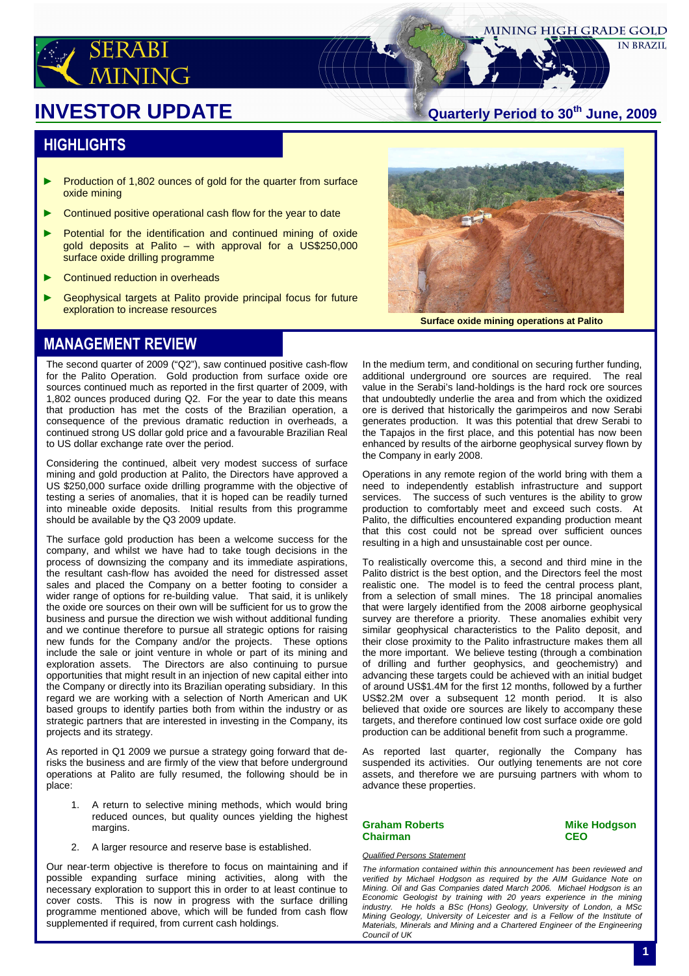

#### **MINING HIGH GRADE GOLD**

**IN BRAZIL** 

# **Quarterly Period to 30th INVESTOR UPDATE June, 2009**

#### **HIGHLIGHTS**

- ► Production of 1,802 ounces of gold for the quarter from surface oxide mining
- ► Continued positive operational cash flow for the year to date
- ► Potential for the identification and continued mining of oxide gold deposits at Palito – with approval for a US\$250,000 surface oxide drilling programme
- ► Continued reduction in overheads
- ► Geophysical targets at Palito provide principal focus for future exploration to increase resources



**Surface oxide mining operations at Palito**

## MANAGEMENT REVIEW

The second quarter of 2009 ("Q2"), saw continued positive cash-flow for the Palito Operation. Gold production from surface oxide ore sources continued much as reported in the first quarter of 2009, with 1,802 ounces produced during Q2. For the year to date this means that production has met the costs of the Brazilian operation, a consequence of the previous dramatic reduction in overheads, a continued strong US dollar gold price and a favourable Brazilian Real to US dollar exchange rate over the period.

Considering the continued, albeit very modest success of surface mining and gold production at Palito, the Directors have approved a US \$250,000 surface oxide drilling programme with the objective of testing a series of anomalies, that it is hoped can be readily turned into mineable oxide deposits. Initial results from this programme should be available by the Q3 2009 update.

The surface gold production has been a welcome success for the company, and whilst we have had to take tough decisions in the process of downsizing the company and its immediate aspirations, the resultant cash-flow has avoided the need for distressed asset sales and placed the Company on a better footing to consider a wider range of options for re-building value. That said, it is unlikely the oxide ore sources on their own will be sufficient for us to grow the business and pursue the direction we wish without additional funding and we continue therefore to pursue all strategic options for raising new funds for the Company and/or the projects. These options include the sale or joint venture in whole or part of its mining and exploration assets. The Directors are also continuing to pursue opportunities that might result in an injection of new capital either into the Company or directly into its Brazilian operating subsidiary. In this regard we are working with a selection of North American and UK based groups to identify parties both from within the industry or as strategic partners that are interested in investing in the Company, its projects and its strategy.

As reported in Q1 2009 we pursue a strategy going forward that derisks the business and are firmly of the view that before underground operations at Palito are fully resumed, the following should be in place:

- 1. A return to selective mining methods, which would bring reduced ounces, but quality ounces yielding the highest margins.
- 2. A larger resource and reserve base is established.

Our near-term objective is therefore to focus on maintaining and if possible expanding surface mining activities, along with the necessary exploration to support this in order to at least continue to cover costs. This is now in progress with the surface drilling programme mentioned above, which will be funded from cash flow supplemented if required, from current cash holdings.

In the medium term, and conditional on securing further funding, additional underground ore sources are required. The real value in the Serabi's land-holdings is the hard rock ore sources that undoubtedly underlie the area and from which the oxidized ore is derived that historically the garimpeiros and now Serabi generates production. It was this potential that drew Serabi to the Tapajos in the first place, and this potential has now been enhanced by results of the airborne geophysical survey flown by the Company in early 2008.

Operations in any remote region of the world bring with them a need to independently establish infrastructure and support services. The success of such ventures is the ability to grow production to comfortably meet and exceed such costs. At Palito, the difficulties encountered expanding production meant that this cost could not be spread over sufficient ounces resulting in a high and unsustainable cost per ounce.

To realistically overcome this, a second and third mine in the Palito district is the best option, and the Directors feel the most realistic one. The model is to feed the central process plant, from a selection of small mines. The 18 principal anomalies that were largely identified from the 2008 airborne geophysical survey are therefore a priority. These anomalies exhibit very similar geophysical characteristics to the Palito deposit, and their close proximity to the Palito infrastructure makes them all the more important. We believe testing (through a combination of drilling and further geophysics, and geochemistry) and advancing these targets could be achieved with an initial budget of around US\$1.4M for the first 12 months, followed by a further US\$2.2M over a subsequent 12 month period. It is also believed that oxide ore sources are likely to accompany these targets, and therefore continued low cost surface oxide ore gold production can be additional benefit from such a programme.

As reported last quarter, regionally the Company has suspended its activities. Our outlying tenements are not core assets, and therefore we are pursuing partners with whom to advance these properties.

Mining Geology, University of Leicester and is a Fellow of the Institute of Materials, Minerals and Mining and a Chartered Engineer of the Engineering

#### **Graham Roberts Mike Hodgson Chairman CEO**

Council of UK

Qualified Persons Statement

The information contained within this announcement has been reviewed and verified by Michael Hodgson as required by the AIM Guidance Note on Mining. Oil and Gas Companies dated March 2006. Michael Hodgson is an Economic Geologist by training with 20 years experience in the mining industry. He holds a BSc (Hons) Geology, University of London, a MSc